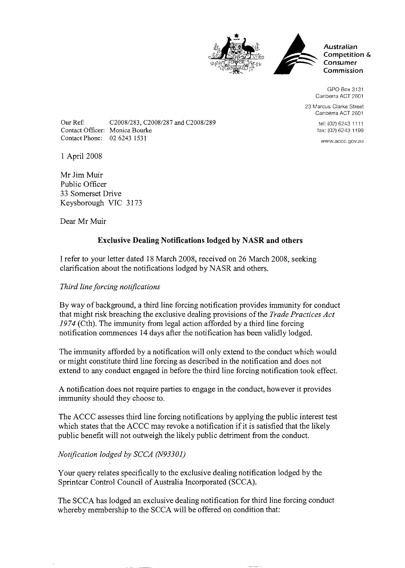



**Australian Competition** & **Consumer Commission** 

GPO Box 3131 Canberra ACT 2601

23 Marcus Clarke Street Canberra ACT 2601

> tel: (02) 6243 11 11 fax: (02) 6243 1199

www.accc.gov.au

Contact Phone: 02 6243 153 1

Contact Officer: Monica Bourke

Our Ref: C20081283, C20081287 and C20081289

Mr Jim Muir Public Officer 33 Somerset Drive Keysborough VIC 3173

Dear Mr Muir

1 April 2008

## **Exclusive Dealing Notifications lodged by NASR and others**

I refer to your letter dated 18 March 2008, received on 26 March 2008, seeking clarification about the notifications lodged by NASR and others.

## *Third line forcing notifications*

By way of background, a third line forcing notification provides immunity for conduct that might risk breaching the exclusive dealing provisions of the *Trade Practices Act 19 74* (Cth). The immunity from legal action afforded by a third line forcing notification commences 14 days after the notification has been validly lodged.

The immunity afforded by a notification will only extend to the conduct which would or might constitute third line forcing as described in the notification and does not extend to any conduct engaged in before the third line forcing notification took effect.

A notification does not require parties to engage in the conduct, however it provides immunity should they choose to.

The ACCC assesses third line forcing notifications by applying the public interest test which states that the ACCC may revoke a notification if it is satisfied that the likely public benefit will not outweigh the likely public detriment from the conduct.

## *Notification lodged by SCCA (N93301)*

Your query relates specifically to the exclusive dealing notification lodged by the Sprintcar Control Council of Australia Incorporated (SCCA).

The SCCA has lodged an exclusive dealing notification for third line forcing conduct whereby membership to the SCCA will be offered on condition that: